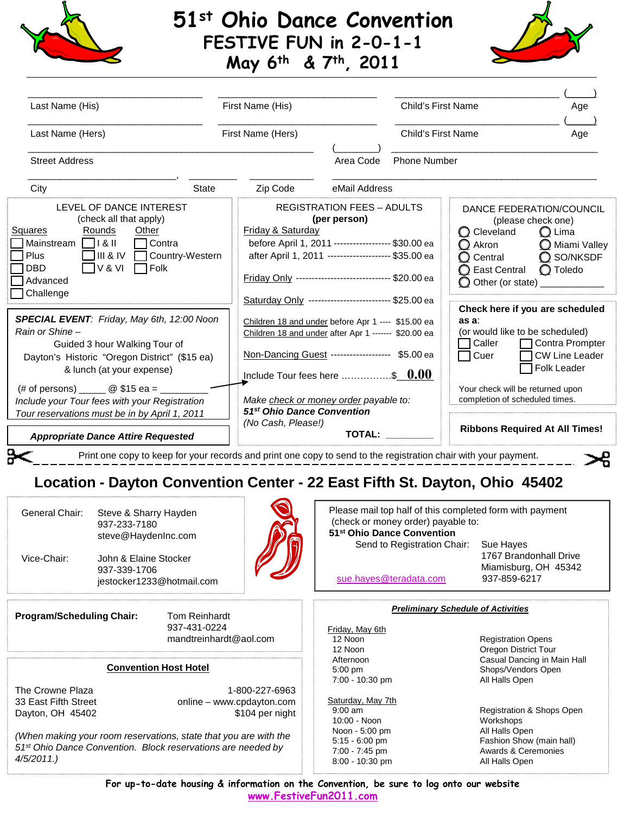## **51st Ohio Dance Convention FESTIVE FUN in 2-0-1-1 May 6th & 7th, 2011**



| Last Name (His)                                                                                                                                                                                                                                                                                                                                                      |       |                                                                                                                                                                                                                                                                                   | First Name (His)                                  |                     | <b>Child's First Name</b><br>Age                                                                                                                                                                                             |
|----------------------------------------------------------------------------------------------------------------------------------------------------------------------------------------------------------------------------------------------------------------------------------------------------------------------------------------------------------------------|-------|-----------------------------------------------------------------------------------------------------------------------------------------------------------------------------------------------------------------------------------------------------------------------------------|---------------------------------------------------|---------------------|------------------------------------------------------------------------------------------------------------------------------------------------------------------------------------------------------------------------------|
| Last Name (Hers)                                                                                                                                                                                                                                                                                                                                                     |       | First Name (Hers)                                                                                                                                                                                                                                                                 |                                                   | Child's First Name  | Age                                                                                                                                                                                                                          |
| <b>Street Address</b>                                                                                                                                                                                                                                                                                                                                                |       |                                                                                                                                                                                                                                                                                   | Area Code                                         | <b>Phone Number</b> |                                                                                                                                                                                                                              |
| City                                                                                                                                                                                                                                                                                                                                                                 | State | Zip Code                                                                                                                                                                                                                                                                          | eMail Address                                     |                     |                                                                                                                                                                                                                              |
| LEVEL OF DANCE INTEREST<br>(check all that apply)<br>Squares<br>Rounds<br>Other<br>ヿMainstream ヿヿ& II<br>$\Box$ Contra<br>$\Box$ III & IV<br>Plus<br>Country-Western<br>$\Box$ v & vi<br>$\Box$ Folk<br>  DBD<br>Advanced<br>7 Challenge                                                                                                                             |       | Friday & Saturday<br>before April 1, 2011 ------------------ \$30.00 ea<br>after April 1, 2011 -------------------- \$35.00 ea<br>Friday Only ----------------------------- \$20.00 ea                                                                                            | <b>REGISTRATION FEES - ADULTS</b><br>(per person) |                     | DANCE FEDERATION/COUNCIL<br>(please check one)<br>C Cleveland<br>$\bigcirc$ Lima<br>$\bigcirc$ Akron<br>Miami Valley<br>$Q$ SO/NKSDF<br>$\bigcirc$ Central<br>O Toledo<br>◯ East Central<br>O Other (or state) _____________ |
| SPECIAL EVENT: Friday, May 6th, 12:00 Noon<br>Rain or Shine-<br>Guided 3 hour Walking Tour of<br>Dayton's Historic "Oregon District" (\$15 ea)<br>& lunch (at your expense)<br>(# of persons) _______ @ \$15 ea = ___<br>Include your Tour fees with your Registration<br>Tour reservations must be in by April 1, 2011<br><b>Appropriate Dance Attire Requested</b> |       | Saturday Only ------------------------- \$25.00 ea<br>as a:<br>Children 18 and under before Apr 1 ---- \$15.00 ea<br>Children 18 and under after Apr 1 ------ \$20.00 ea<br>ヿCaller<br>Non-Dancing Guest ------------------ \$5.00 ea<br>∏ Cuer<br>Include Tour fees here \$ 0.00 |                                                   |                     | Check here if you are scheduled<br>(or would like to be scheduled)<br>□ Contra Prompter<br><b>CW Line Leader</b><br><b>Folk Leader</b>                                                                                       |
|                                                                                                                                                                                                                                                                                                                                                                      |       | Make check or money order payable to:<br>51 <sup>st</sup> Ohio Dance Convention<br>(No Cash, Please!)                                                                                                                                                                             |                                                   |                     | Your check will be returned upon<br>completion of scheduled times.                                                                                                                                                           |
|                                                                                                                                                                                                                                                                                                                                                                      |       |                                                                                                                                                                                                                                                                                   | <b>TOTAL:</b>                                     |                     | <b>Ribbons Required At All Times!</b>                                                                                                                                                                                        |

## **Location - Dayton Convention Center - 22 East Fifth St. Dayton, Ohio 45402**

| General Chair:<br>Steve & Sharry Hayden<br>937-233-7180<br>steve@HaydenInc.com         |                                       | Please mail top half of this completed form with payment<br>(check or money order) payable to:<br>51 <sup>st</sup> Ohio Dance Convention |                           |                              |                                                                |
|----------------------------------------------------------------------------------------|---------------------------------------|------------------------------------------------------------------------------------------------------------------------------------------|---------------------------|------------------------------|----------------------------------------------------------------|
|                                                                                        |                                       |                                                                                                                                          |                           | Send to Registration Chair:  | Sue Hayes                                                      |
| Vice-Chair:                                                                            | John & Elaine Stocker<br>937-339-1706 | jestocker1233@hotmail.com                                                                                                                |                           | sue.hayes@teradata.com       | 1767 Brandonhall Drive<br>Miamisburg, OH 45342<br>937-859-6217 |
| <b>Program/Scheduling Chair:</b><br><b>Tom Reinhardt</b>                               |                                       | <b>Preliminary Schedule of Activities</b>                                                                                                |                           |                              |                                                                |
|                                                                                        |                                       | 937-431-0224                                                                                                                             |                           | Friday, May 6th              |                                                                |
| mandtreinhardt@aol.com                                                                 |                                       | 12 Noon                                                                                                                                  | <b>Registration Opens</b> |                              |                                                                |
|                                                                                        |                                       |                                                                                                                                          |                           | 12 Noon                      | Oregon District Tour                                           |
| <b>Convention Host Hotel</b>                                                           |                                       |                                                                                                                                          |                           | Afternoon                    | Casual Dancing in Main Hall                                    |
|                                                                                        |                                       |                                                                                                                                          |                           | $5:00$ pm<br>7:00 - 10:30 pm | Shops/Vendors Open<br>All Halls Open                           |
| The Crowne Plaza                                                                       |                                       |                                                                                                                                          | 1-800-227-6963            |                              |                                                                |
| 33 East Fifth Street<br>online - www.cpdayton.com                                      |                                       | Saturday, May 7th                                                                                                                        |                           |                              |                                                                |
| Dayton, OH 45402<br>\$104 per night                                                    |                                       |                                                                                                                                          | $9:00$ am                 | Registration & Shops Open    |                                                                |
|                                                                                        |                                       |                                                                                                                                          |                           | $10:00 - N$ oon              | Workshops                                                      |
| (When making your room reservations, state that you are with the                       |                                       |                                                                                                                                          |                           | Noon - 5:00 pm               | All Halls Open                                                 |
|                                                                                        |                                       |                                                                                                                                          |                           | $5:15 - 6:00$ pm             | Fashion Show (main hall)                                       |
| 51 <sup>st</sup> Ohio Dance Convention. Block reservations are needed by<br>4/5/2011.) |                                       |                                                                                                                                          |                           | 7:00 - 7:45 pm               | Awards & Ceremonies                                            |
|                                                                                        |                                       |                                                                                                                                          |                           | 8:00 - 10:30 pm              | All Halls Open                                                 |

**For up-to-date housing & information on the Convention, be sure to log onto our website [www.FestiveFun2011.com](http://www.festivefun2011.com/)**